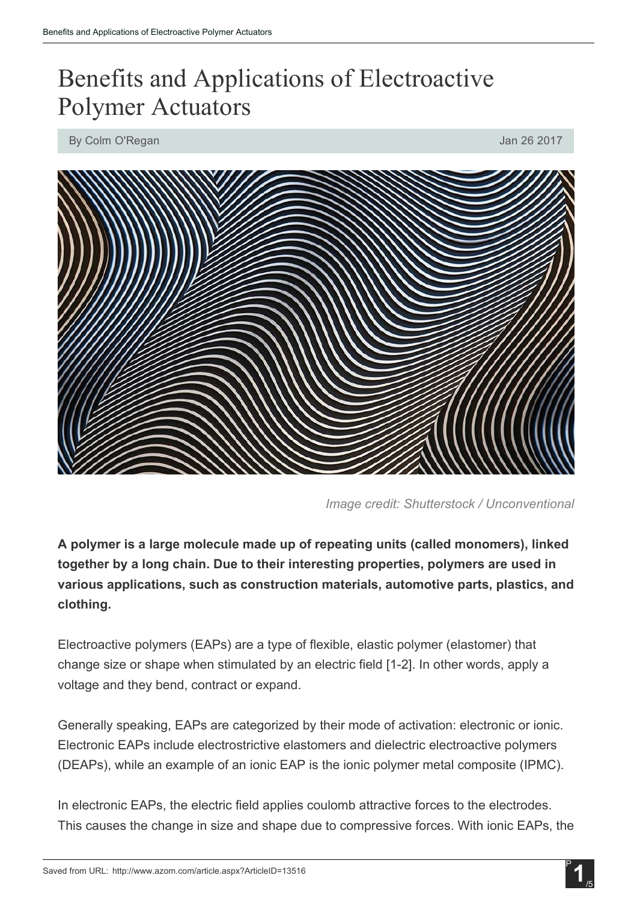## Benefits and Applications of Electroactive Polymer Actuators

By Colm O'Regan Jan 26 2017



*Image credit: Shutterstock / Unconventional*

A polymer is a large molecule made up of repeating units (called monomers), linked together by a long chain. Due to their interesting properties, polymers are used in various applications, such as construction materials, automotive parts, plastics, and clothing.

Electroactive polymers (EAPs) are a type of flexible, elastic polymer (elastomer) that change size or shape when stimulated by an electric field [12]. In other words, apply a voltage and they bend, contract or expand.

Generally speaking, EAPs are categorized by their mode of activation: electronic or ionic. Electronic EAPs include electrostrictive elastomers and dielectric electroactive polymers (DEAPs), while an example of an ionic EAP is the ionic polymer metal composite (IPMC).

In electronic EAPs, the electric field applies coulomb attractive forces to the electrodes. This causes the change in size and shape due to compressive forces. With ionic EAPs, the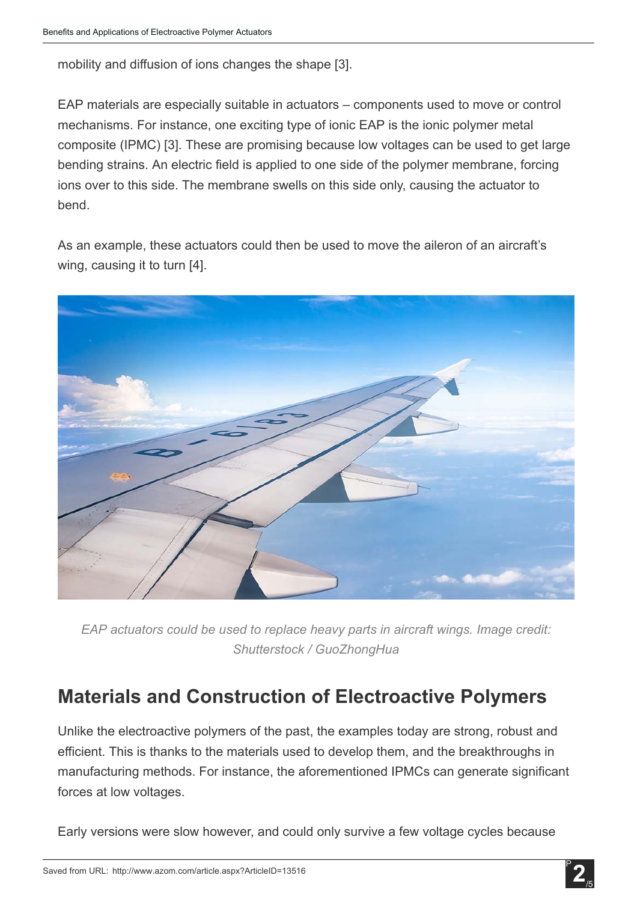mobility and diffusion of ions changes the shape [3].

EAP materials are especially suitable in actuators – components used to move or control mechanisms. For instance, one exciting type of ionic EAP is the ionic polymer metal composite (IPMC) [3]. These are promising because low voltages can be used to get large bending strains. An electric field is applied to one side of the polymer membrane, forcing ions over to this side. The membrane swells on this side only, causing the actuator to bend.

As an example, these actuators could then be used to move the aileron of an aircraft's wing, causing it to turn [4].



*EAP actuators could be used to replace heavy parts in aircraft wings. Image credit: Shutterstock / GuoZhongHua*

## Materials and Construction of Electroactive Polymers

Unlike the electroactive polymers of the past, the examples today are strong, robust and efficient. This is thanks to the materials used to develop them, and the breakthroughs in manufacturing methods. For instance, the aforementioned IPMCs can generate significant forces at low voltages.

Early versions were slow however, and could only survive a few voltage cycles because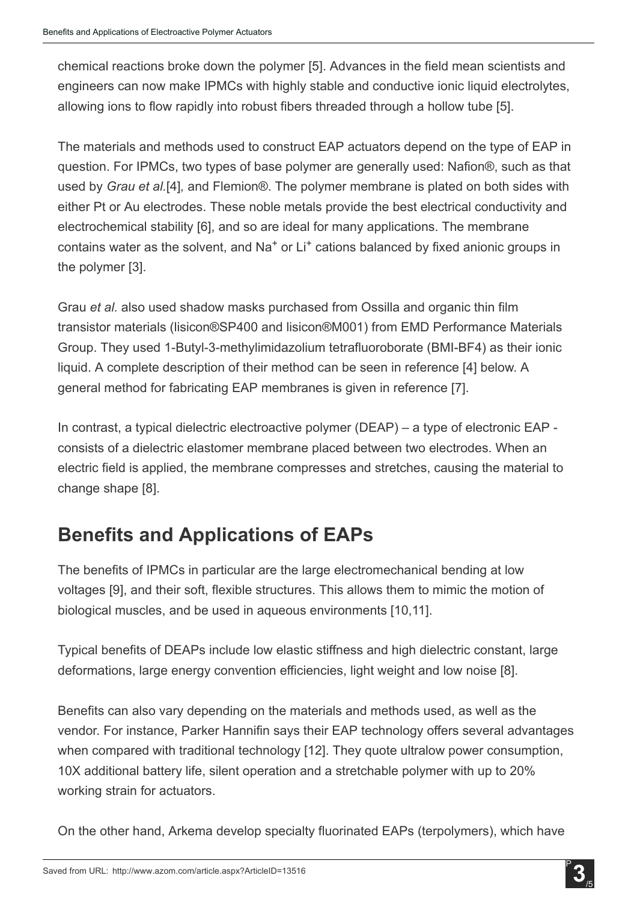chemical reactions broke down the polymer [5]. Advances in the field mean scientists and engineers can now make IPMCs with highly stable and conductive ionic liquid electrolytes, allowing ions to flow rapidly into robust fibers threaded through a hollow tube [5].

The materials and methods used to construct EAP actuators depend on the type of EAP in question. For IPMCs, two types of base polymer are generally used: Nafion®, such as that used by *Grau et al.*[4]*,* and Flemion®. The polymer membrane is plated on both sides with either Pt or Au electrodes. These noble metals provide the best electrical conductivity and electrochemical stability [6], and so are ideal for many applications. The membrane contains water as the solvent, and Na<sup>+</sup> or Li<sup>+</sup> cations balanced by fixed anionic groups in the polymer [3].

Grau *et al.* also used shadow masks purchased from Ossilla and organic thin film transistor materials (lisicon®SP400 and lisicon®M001) from EMD Performance Materials Group. They used 1-Butyl-3-methylimidazolium tetrafluoroborate (BMI-BF4) as their ionic liquid. A complete description of their method can be seen in reference [4] below. A general method for fabricating EAP membranes is given in reference [7].

In contrast, a typical dielectric electroactive polymer (DEAP) – a type of electronic EAP consists of a dielectric elastomer membrane placed between two electrodes. When an electric field is applied, the membrane compresses and stretches, causing the material to change shape [8].

## Benefits and Applications of EAPs

The benefits of IPMCs in particular are the large electromechanical bending at low voltages [9], and their soft, flexible structures. This allows them to mimic the motion of biological muscles, and be used in aqueous environments [10,11].

Typical benefits of DEAPs include low elastic stiffness and high dielectric constant, large deformations, large energy convention efficiencies, light weight and low noise [8].

Benefits can also vary depending on the materials and methods used, as well as the vendor. For instance, Parker Hannifin says their EAP technology offers several advantages when compared with traditional technology [12]. They quote ultralow power consumption, 10X additional battery life, silent operation and a stretchable polymer with up to 20% working strain for actuators.

On the other hand, Arkema develop specialty fluorinated EAPs (terpolymers), which have

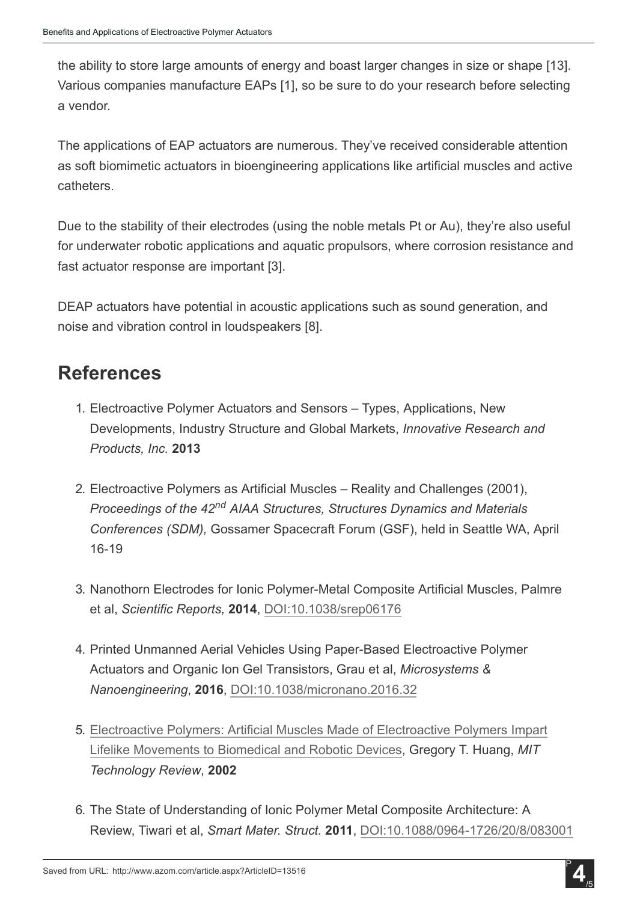the ability to store large amounts of energy and boast larger changes in size or shape [13]. Various companies manufacture EAPs [1], so be sure to do your research before selecting a vendor.

The applications of EAP actuators are numerous. They've received considerable attention as soft biomimetic actuators in bioengineering applications like artificial muscles and active catheters.

Due to the stability of their electrodes (using the noble metals Pt or Au), they're also useful for underwater robotic applications and aquatic propulsors, where corrosion resistance and fast actuator response are important [3].

DEAP actuators have potential in acoustic applications such as sound generation, and noise and vibration control in loudspeakers [8].

## References

- 1. Electroactive Polymer Actuators and Sensors Types, Applications, New Developments, Industry Structure and Global Markets, *Innovative Research and Products, Inc.* 2013
- 2. Electroactive Polymers as Artificial Muscles Reality and Challenges (2001), *Proceedings of the 42 AIAA Structures, Structures Dynamics and Materials nd Conferences (SDM),* Gossamer Spacecraft Forum (GSF), held in Seattle WA, April 16-19
- 3. Nanothorn Electrodes for Ionic Polymer-Metal Composite Artificial Muscles, Palmre et al, *Scientific Reports,* 2014, [DOI:10.1038/srep06176](http://dx.doi.org/10.1038/srep06176)
- 4. Printed Unmanned Aerial Vehicles Using Paper-Based Electroactive Polymer Actuators and Organic Ion Gel Transistors, Grau et al, *Microsystems & Nanoengineering*, 2016, [DOI:10.1038/micronano.2016.32](http://dx.doi.org/10.1038/micronano.2016.32)
- 5. Electroactive Polymers: Artificial Muscles Made of [Electroactive](https://www.technologyreview.com/s/401750/electroactive-polymers/) Polymers Impart Lifelike [Movements](https://www.technologyreview.com/s/401750/electroactive-polymers/) to Biomedical and Robotic Devices, Gregory T. Huang, *MIT Technology Review*, 2002
- 6. The State of Understanding of Ionic Polymer Metal Composite Architecture: A Review, Tiwari et al, *Smart Mater. Struct.* 2011, [DOI:10.1088/09641726/20/8/083001](http://dx.doi.org/10.1088/0964-1726/20/8/083001)